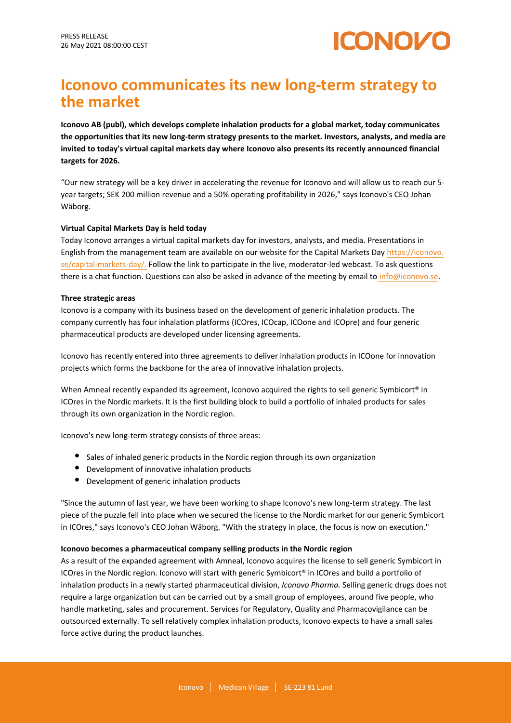

# **Iconovo communicates its new long-term strategy to the market**

**Iconovo AB (publ), which develops complete inhalation products for a global market, today communicates the opportunities that its new long-term strategy presents to the market. Investors, analysts, and media are invited to today's virtual capital markets day where Iconovo also presents its recently announced financial targets for 2026.**

"Our new strategy will be a key driver in accelerating the revenue for Iconovo and will allow us to reach our 5 year targets; SEK 200 million revenue and a 50% operating profitability in 2026," says Iconovo's CEO Johan Wäborg.

# **Virtual Capital Markets Day is held today**

Today Iconovo arranges a virtual capital markets day for investors, analysts, and media. Presentations in English from the management team are available on our website for the Capital Markets Day [https://iconovo.](https://iconovo.se/capital-markets-day/) [se/capital-markets-day/.](https://iconovo.se/capital-markets-day/) Follow the link to participate in the live, moderator-led webcast. To ask questions there is a chat function. Questions can also be asked in advance of the meeting by email to info@iconovo.se.

# **Three strategic areas**

Iconovo is a company with its business based on the development of generic inhalation products. The company currently has four inhalation platforms (ICOres, ICOcap, ICOone and ICOpre) and four generic pharmaceutical products are developed under licensing agreements.

Iconovo has recently entered into three agreements to deliver inhalation products in ICOone for innovation projects which forms the backbone for the area of innovative inhalation projects.

When Amneal recently expanded its agreement, Iconovo acquired the rights to sell generic Symbicort® in ICOres in the Nordic markets. It is the first building block to build a portfolio of inhaled products for sales through its own organization in the Nordic region.

Iconovo's new long-term strategy consists of three areas:

- Sales of inhaled generic products in the Nordic region through its own organization
- Development of innovative inhalation products
- Development of generic inhalation products

"Since the autumn of last year, we have been working to shape Iconovo's new long-term strategy. The last piece of the puzzle fell into place when we secured the license to the Nordic market for our generic Symbicort in ICOres," says Iconovo's CEO Johan Wäborg. "With the strategy in place, the focus is now on execution."

#### **Iconovo becomes a pharmaceutical company selling products in the Nordic region**

As a result of the expanded agreement with Amneal, Iconovo acquires the license to sell generic Symbicort in ICOres in the Nordic region. Iconovo will start with generic Symbicort® in ICOres and build a portfolio of inhalation products in a newly started pharmaceutical division, *Iconovo Pharma.* Selling generic drugs does not require a large organization but can be carried out by a small group of employees, around five people, who handle marketing, sales and procurement. Services for Regulatory, Quality and Pharmacovigilance can be outsourced externally. To sell relatively complex inhalation products, Iconovo expects to have a small sales force active during the product launches.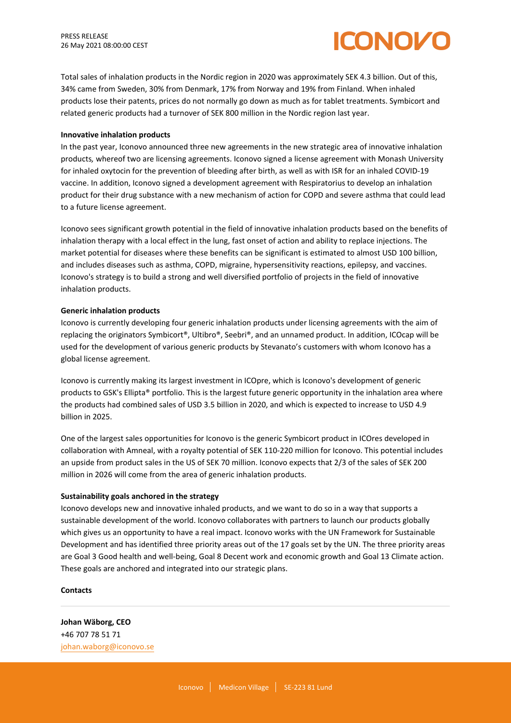

Total sales of inhalation products in the Nordic region in 2020 was approximately SEK 4.3 billion. Out of this, 34% came from Sweden, 30% from Denmark, 17% from Norway and 19% from Finland. When inhaled products lose their patents, prices do not normally go down as much as for tablet treatments. Symbicort and related generic products had a turnover of SEK 800 million in the Nordic region last year.

## **Innovative inhalation products**

In the past year, Iconovo announced three new agreements in the new strategic area of innovative inhalation products*,* whereof two are licensing agreements. Iconovo signed a license agreement with Monash University for inhaled oxytocin for the prevention of bleeding after birth, as well as with ISR for an inhaled COVID-19 vaccine. In addition, Iconovo signed a development agreement with Respiratorius to develop an inhalation product for their drug substance with a new mechanism of action for COPD and severe asthma that could lead to a future license agreement.

Iconovo sees significant growth potential in the field of innovative inhalation products based on the benefits of inhalation therapy with a local effect in the lung, fast onset of action and ability to replace injections. The market potential for diseases where these benefits can be significant is estimated to almost USD 100 billion, and includes diseases such as asthma, COPD, migraine, hypersensitivity reactions, epilepsy, and vaccines. Iconovo's strategy is to build a strong and well diversified portfolio of projects in the field of innovative inhalation products.

## **Generic inhalation products**

Iconovo is currently developing four generic inhalation products under licensing agreements with the aim of replacing the originators Symbicort®, Ultibro®, Seebri®, and an unnamed product. In addition, ICOcap will be used for the development of various generic products by Stevanato's customers with whom Iconovo has a global license agreement.

Iconovo is currently making its largest investment in ICOpre, which is Iconovo's development of generic products to GSK's Ellipta® portfolio. This is the largest future generic opportunity in the inhalation area where the products had combined sales of USD 3.5 billion in 2020, and which is expected to increase to USD 4.9 billion in 2025.

One of the largest sales opportunities for Iconovo is the generic Symbicort product in ICOres developed in collaboration with Amneal, with a royalty potential of SEK 110-220 million for Iconovo. This potential includes an upside from product sales in the US of SEK 70 million. Iconovo expects that 2/3 of the sales of SEK 200 million in 2026 will come from the area of generic inhalation products.

#### **Sustainability goals anchored in the strategy**

Iconovo develops new and innovative inhaled products, and we want to do so in a way that supports a sustainable development of the world. Iconovo collaborates with partners to launch our products globally which gives us an opportunity to have a real impact. Iconovo works with the UN Framework for Sustainable Development and has identified three priority areas out of the 17 goals set by the UN. The three priority areas are Goal 3 Good health and well-being, Goal 8 Decent work and economic growth and Goal 13 Climate action. These goals are anchored and integrated into our strategic plans.

#### **Contacts**

**Johan Wäborg, CEO** +46 707 78 51 71 johan.waborg@iconovo.se